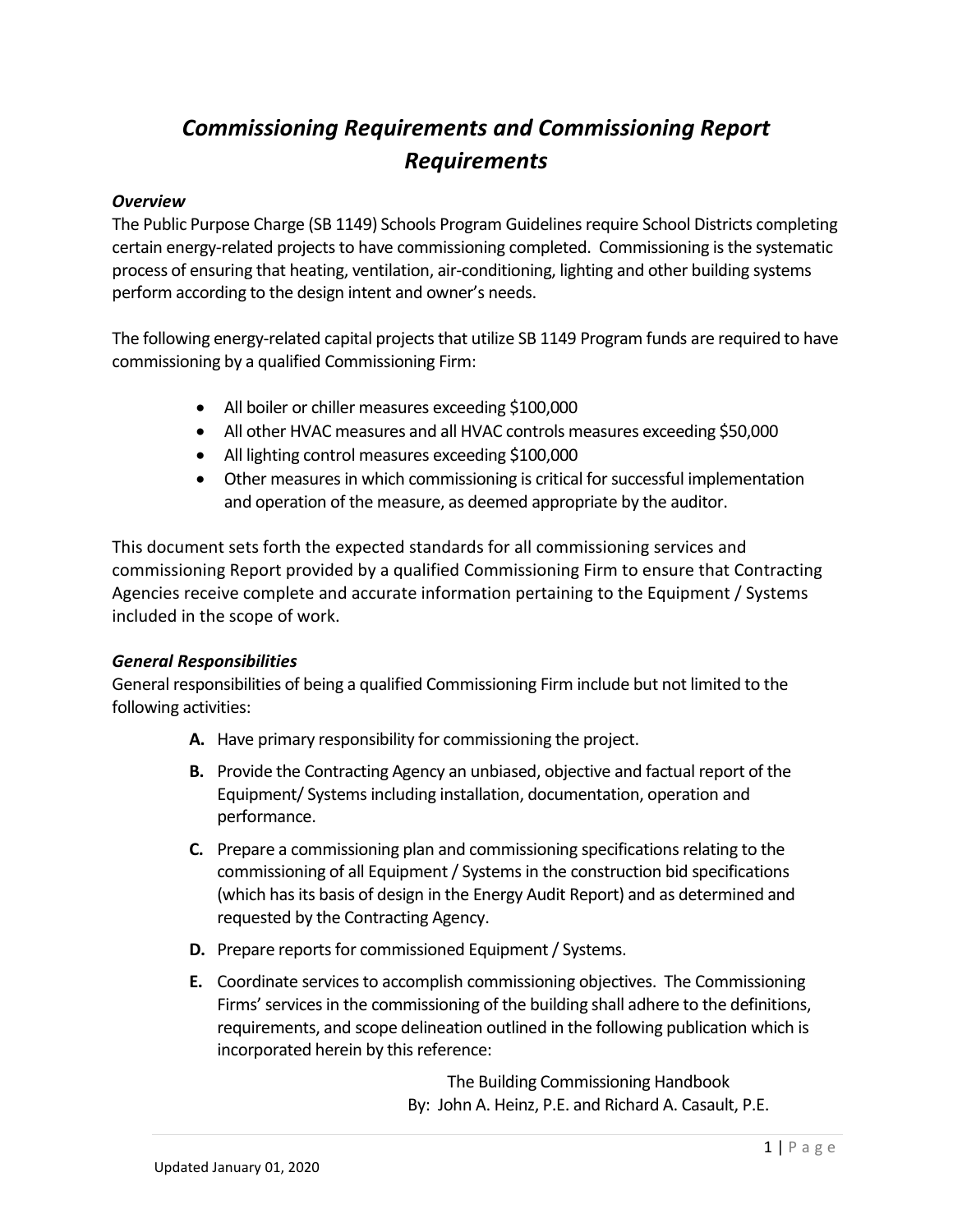# *Commissioning Requirements and Commissioning Report Requirements*

#### *Overview*

The Public Purpose Charge (SB 1149) Schools Program Guidelines require School Districts completing certain energy-related projects to have commissioning completed. Commissioning is the systematic process of ensuring that heating, ventilation, air-conditioning, lighting and other building systems perform according to the design intent and owner's needs.

The following energy-related capital projects that utilize SB 1149 Program funds are required to have commissioning by a qualified Commissioning Firm:

- All boiler or chiller measures exceeding \$100,000
- All other HVAC measures and all HVAC controls measures exceeding \$50,000
- All lighting control measures exceeding \$100,000
- Other measures in which commissioning is critical for successful implementation and operation of the measure, as deemed appropriate by the auditor.

This document sets forth the expected standards for all commissioning services and commissioning Report provided by a qualified Commissioning Firm to ensure that Contracting Agencies receive complete and accurate information pertaining to the Equipment / Systems included in the scope of work.

### *General Responsibilities*

General responsibilities of being a qualified Commissioning Firm include but not limited to the following activities:

- **A.** Have primary responsibility for commissioning the project.
- **B.** Provide the Contracting Agency an unbiased, objective and factual report of the Equipment/ Systems including installation, documentation, operation and performance.
- **C.** Prepare a commissioning plan and commissioning specifications relating to the commissioning of all Equipment / Systems in the construction bid specifications (which has its basis of design in the Energy Audit Report) and as determined and requested by the Contracting Agency.
- **D.** Prepare reports for commissioned Equipment / Systems.
- **E.** Coordinate services to accomplish commissioning objectives. The Commissioning Firms' services in the commissioning of the building shall adhere to the definitions, requirements, and scope delineation outlined in the following publication which is incorporated herein by this reference:

The Building Commissioning Handbook By: John A. Heinz, P.E. and Richard A. Casault, P.E.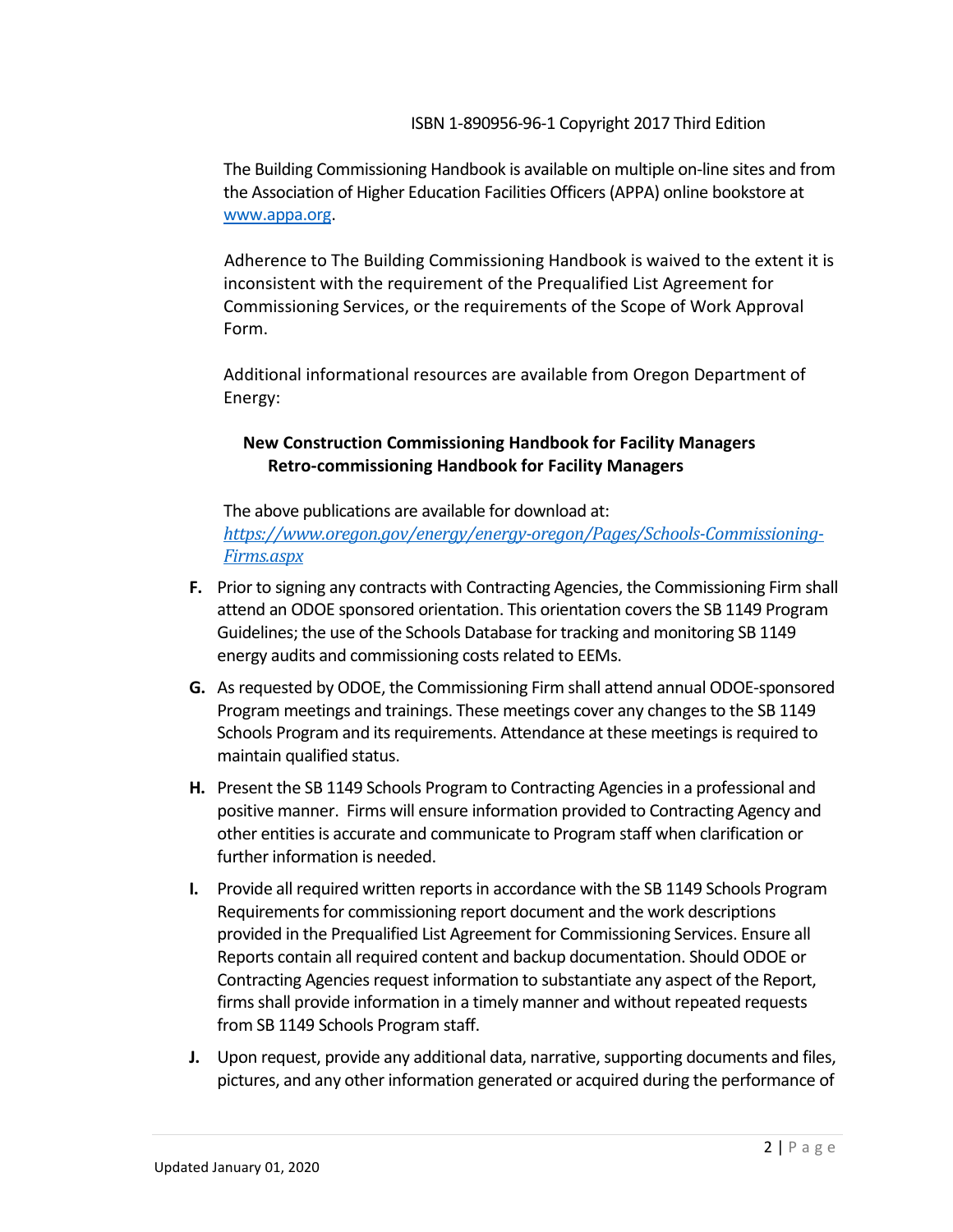The Building Commissioning Handbook is available on multiple on-line sites and from the Association of Higher Education Facilities Officers (APPA) online bookstore at [www.appa.org.](http://www.appa.org/)

Adherence to The Building Commissioning Handbook is waived to the extent it is inconsistent with the requirement of the Prequalified List Agreement for Commissioning Services, or the requirements of the Scope of Work Approval Form.

Additional informational resources are available from Oregon Department of Energy:

## **New Construction Commissioning Handbook for Facility Managers Retro-commissioning Handbook for Facility Managers**

The above publications are available for download at: *[https://www.oregon.gov/energy/energy-oregon/Pages/Schools-Commissioning-](https://www.oregon.gov/energy/energy-oregon/Pages/Schools-Commissioning-Firms.aspx)[Firms.aspx](https://www.oregon.gov/energy/energy-oregon/Pages/Schools-Commissioning-Firms.aspx)*

- **F.** Prior to signing any contracts with Contracting Agencies, the Commissioning Firm shall attend an ODOE sponsored orientation. This orientation covers the SB 1149 Program Guidelines; the use of the Schools Database for tracking and monitoring SB 1149 energy audits and commissioning costs related to EEMs.
- **G.** As requested by ODOE, the Commissioning Firm shall attend annual ODOE-sponsored Program meetings and trainings. These meetings cover any changes to the SB 1149 Schools Program and its requirements. Attendance at these meetings is required to maintain qualified status.
- **H.** Present the SB 1149 Schools Program to Contracting Agencies in a professional and positive manner. Firms will ensure information provided to Contracting Agency and other entities is accurate and communicate to Program staff when clarification or further information is needed.
- **I.** Provide all required written reports in accordance with the SB 1149 Schools Program Requirements for commissioning report document and the work descriptions provided in the Prequalified List Agreement for Commissioning Services. Ensure all Reports contain all required content and backup documentation. Should ODOE or Contracting Agencies request information to substantiate any aspect of the Report, firms shall provide information in a timely manner and without repeated requests from SB 1149 Schools Program staff.
- **J.** Upon request, provide any additional data, narrative, supporting documents and files, pictures, and any other information generated or acquired during the performance of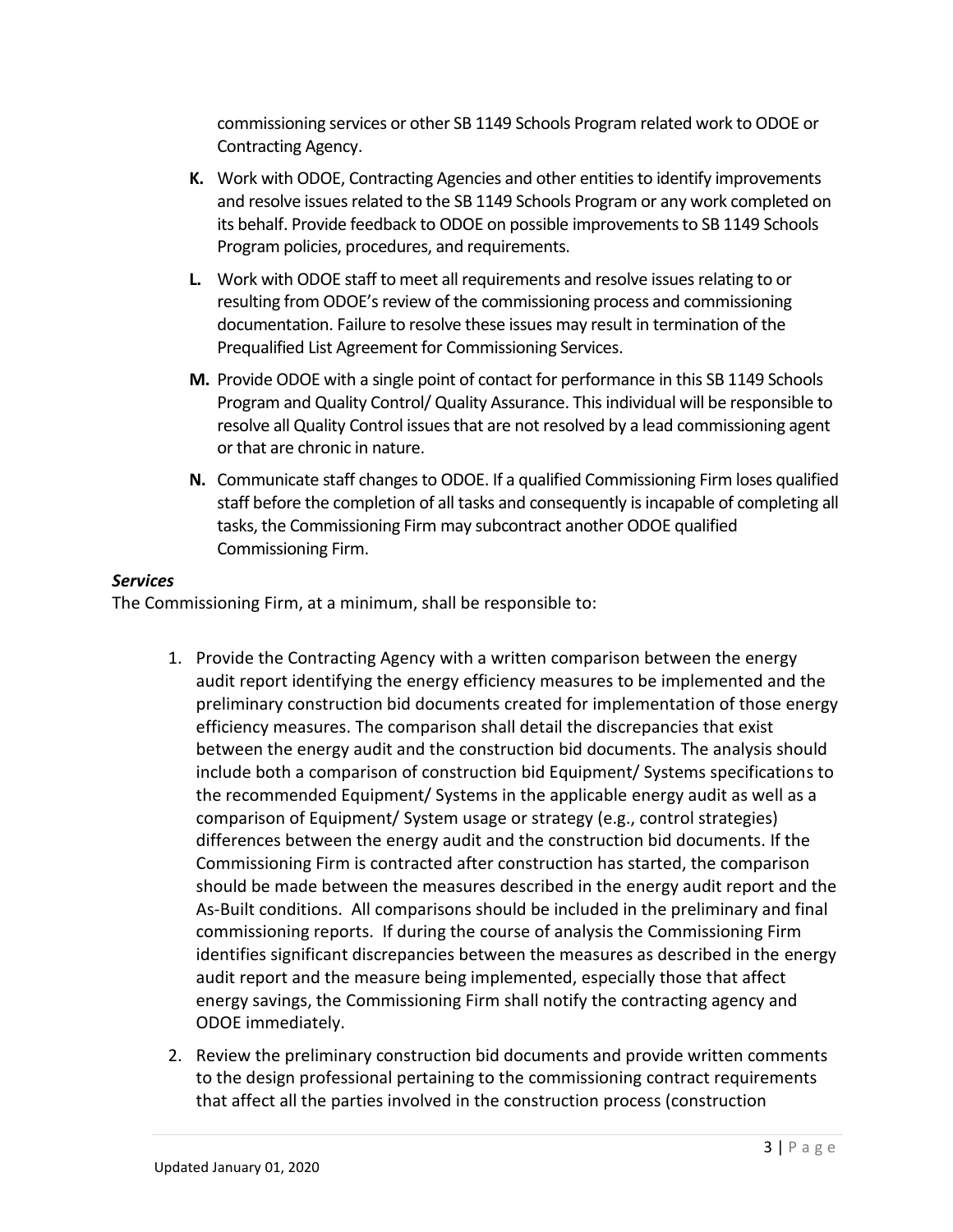commissioning services or other SB 1149 Schools Program related work to ODOE or Contracting Agency.

- **K.** Work with ODOE, Contracting Agencies and other entities to identify improvements and resolve issues related to the SB 1149 Schools Program or any work completed on its behalf. Provide feedback to ODOE on possible improvements to SB 1149 Schools Program policies, procedures, and requirements.
- **L.** Work with ODOE staff to meet all requirements and resolve issues relating to or resulting from ODOE's review of the commissioning process and commissioning documentation. Failure to resolve these issues may result in termination of the Prequalified List Agreement for Commissioning Services.
- **M.** Provide ODOE with a single point of contact for performance in this SB 1149 Schools Program and Quality Control/ Quality Assurance. This individual will be responsible to resolve all Quality Control issues that are not resolved by a lead commissioning agent or that are chronic in nature.
- **N.** Communicate staff changes to ODOE. If a qualified Commissioning Firm loses qualified staff before the completion of all tasks and consequently is incapable of completing all tasks, the Commissioning Firm may subcontract another ODOE qualified Commissioning Firm.

## *Services*

The Commissioning Firm, at a minimum, shall be responsible to:

- 1. Provide the Contracting Agency with a written comparison between the energy audit report identifying the energy efficiency measures to be implemented and the preliminary construction bid documents created for implementation of those energy efficiency measures. The comparison shall detail the discrepancies that exist between the energy audit and the construction bid documents. The analysis should include both a comparison of construction bid Equipment/ Systems specifications to the recommended Equipment/ Systems in the applicable energy audit as well as a comparison of Equipment/ System usage or strategy (e.g., control strategies) differences between the energy audit and the construction bid documents. If the Commissioning Firm is contracted after construction has started, the comparison should be made between the measures described in the energy audit report and the As-Built conditions. All comparisons should be included in the preliminary and final commissioning reports. If during the course of analysis the Commissioning Firm identifies significant discrepancies between the measures as described in the energy audit report and the measure being implemented, especially those that affect energy savings, the Commissioning Firm shall notify the contracting agency and ODOE immediately.
- 2. Review the preliminary construction bid documents and provide written comments to the design professional pertaining to the commissioning contract requirements that affect all the parties involved in the construction process (construction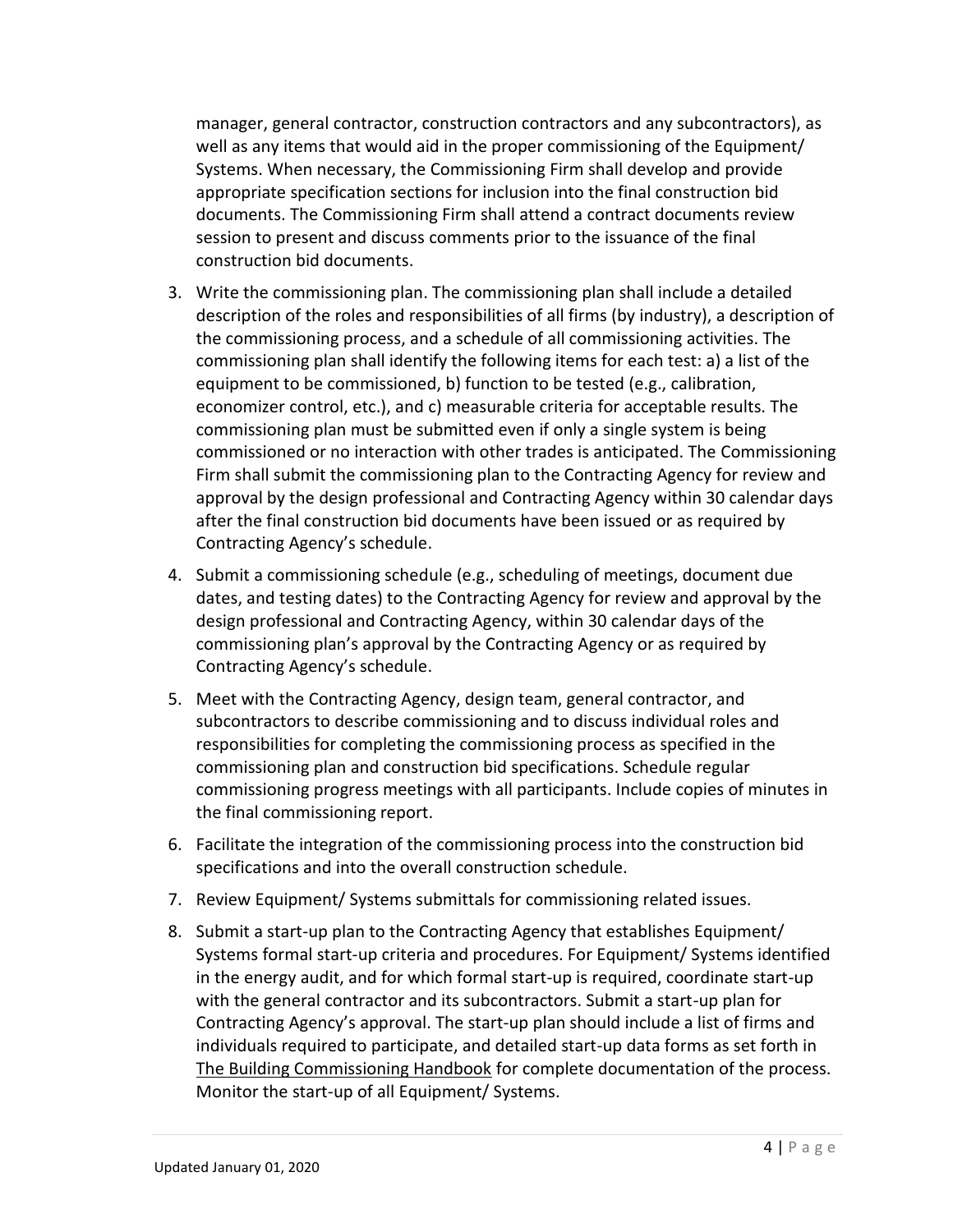manager, general contractor, construction contractors and any subcontractors), as well as any items that would aid in the proper commissioning of the Equipment/ Systems. When necessary, the Commissioning Firm shall develop and provide appropriate specification sections for inclusion into the final construction bid documents. The Commissioning Firm shall attend a contract documents review session to present and discuss comments prior to the issuance of the final construction bid documents.

- 3. Write the commissioning plan. The commissioning plan shall include a detailed description of the roles and responsibilities of all firms (by industry), a description of the commissioning process, and a schedule of all commissioning activities. The commissioning plan shall identify the following items for each test: a) a list of the equipment to be commissioned, b) function to be tested (e.g., calibration, economizer control, etc.), and c) measurable criteria for acceptable results. The commissioning plan must be submitted even if only a single system is being commissioned or no interaction with other trades is anticipated. The Commissioning Firm shall submit the commissioning plan to the Contracting Agency for review and approval by the design professional and Contracting Agency within 30 calendar days after the final construction bid documents have been issued or as required by Contracting Agency's schedule.
- 4. Submit a commissioning schedule (e.g., scheduling of meetings, document due dates, and testing dates) to the Contracting Agency for review and approval by the design professional and Contracting Agency, within 30 calendar days of the commissioning plan's approval by the Contracting Agency or as required by Contracting Agency's schedule.
- 5. Meet with the Contracting Agency, design team, general contractor, and subcontractors to describe commissioning and to discuss individual roles and responsibilities for completing the commissioning process as specified in the commissioning plan and construction bid specifications. Schedule regular commissioning progress meetings with all participants. Include copies of minutes in the final commissioning report.
- 6. Facilitate the integration of the commissioning process into the construction bid specifications and into the overall construction schedule.
- 7. Review Equipment/ Systems submittals for commissioning related issues.
- 8. Submit a start-up plan to the Contracting Agency that establishes Equipment/ Systems formal start-up criteria and procedures. For Equipment/ Systems identified in the energy audit, and for which formal start-up is required, coordinate start-up with the general contractor and its subcontractors. Submit a start-up plan for Contracting Agency's approval. The start-up plan should include a list of firms and individuals required to participate, and detailed start-up data forms as set forth in The Building Commissioning Handbook for complete documentation of the process. Monitor the start-up of all Equipment/ Systems.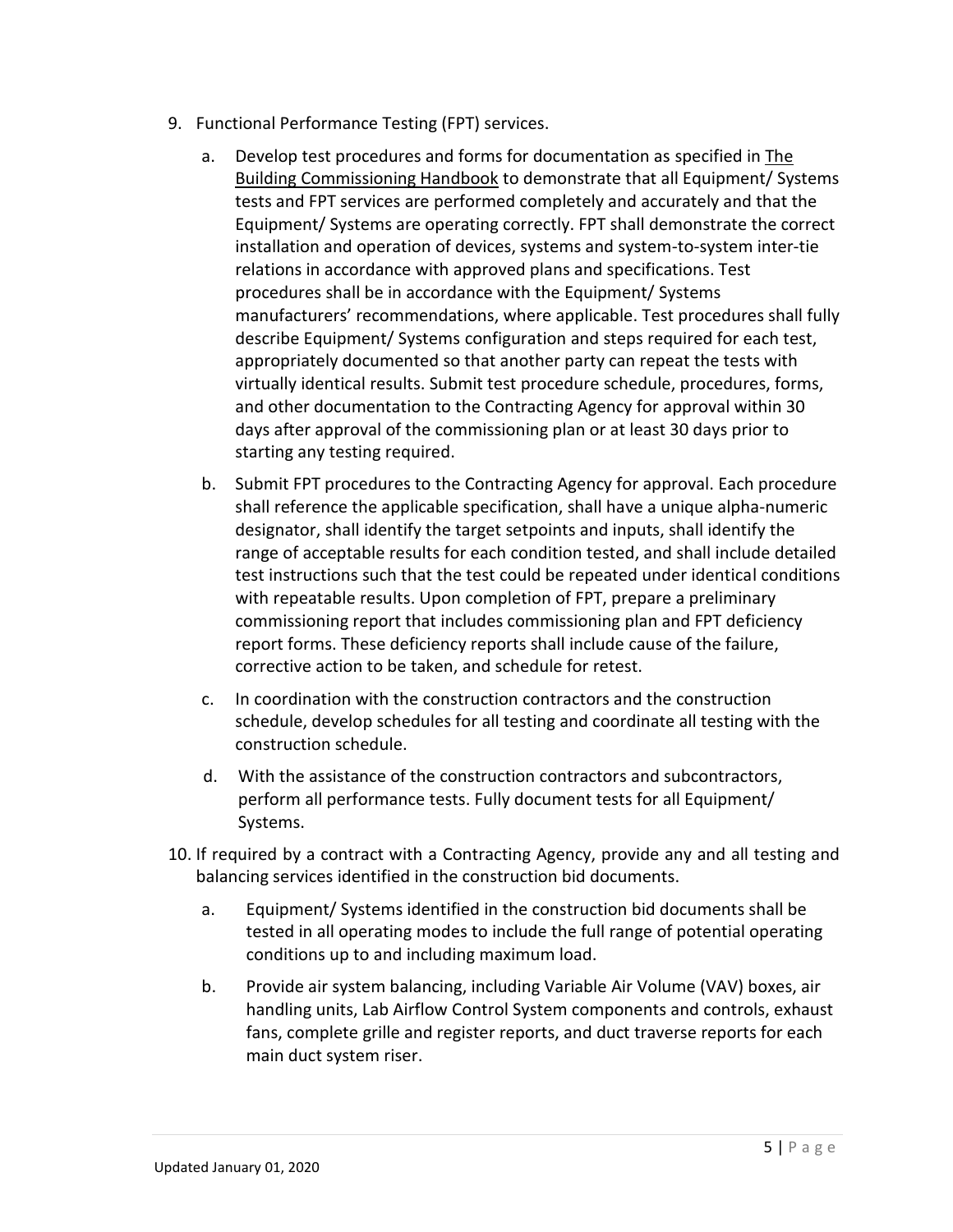- 9. Functional Performance Testing (FPT) services.
	- a. Develop test procedures and forms for documentation as specified in The Building Commissioning Handbook to demonstrate that all Equipment/ Systems tests and FPT services are performed completely and accurately and that the Equipment/ Systems are operating correctly. FPT shall demonstrate the correct installation and operation of devices, systems and system-to-system inter-tie relations in accordance with approved plans and specifications. Test procedures shall be in accordance with the Equipment/ Systems manufacturers' recommendations, where applicable. Test procedures shall fully describe Equipment/ Systems configuration and steps required for each test, appropriately documented so that another party can repeat the tests with virtually identical results. Submit test procedure schedule, procedures, forms, and other documentation to the Contracting Agency for approval within 30 days after approval of the commissioning plan or at least 30 days prior to starting any testing required.
	- b. Submit FPT procedures to the Contracting Agency for approval. Each procedure shall reference the applicable specification, shall have a unique alpha-numeric designator, shall identify the target setpoints and inputs, shall identify the range of acceptable results for each condition tested, and shall include detailed test instructions such that the test could be repeated under identical conditions with repeatable results. Upon completion of FPT, prepare a preliminary commissioning report that includes commissioning plan and FPT deficiency report forms. These deficiency reports shall include cause of the failure, corrective action to be taken, and schedule for retest.
	- c. In coordination with the construction contractors and the construction schedule, develop schedules for all testing and coordinate all testing with the construction schedule.
	- d. With the assistance of the construction contractors and subcontractors, perform all performance tests. Fully document tests for all Equipment/ Systems.
- 10. If required by a contract with a Contracting Agency, provide any and all testing and balancing services identified in the construction bid documents.
	- a. Equipment/ Systems identified in the construction bid documents shall be tested in all operating modes to include the full range of potential operating conditions up to and including maximum load.
	- b. Provide air system balancing, including Variable Air Volume (VAV) boxes, air handling units, Lab Airflow Control System components and controls, exhaust fans, complete grille and register reports, and duct traverse reports for each main duct system riser.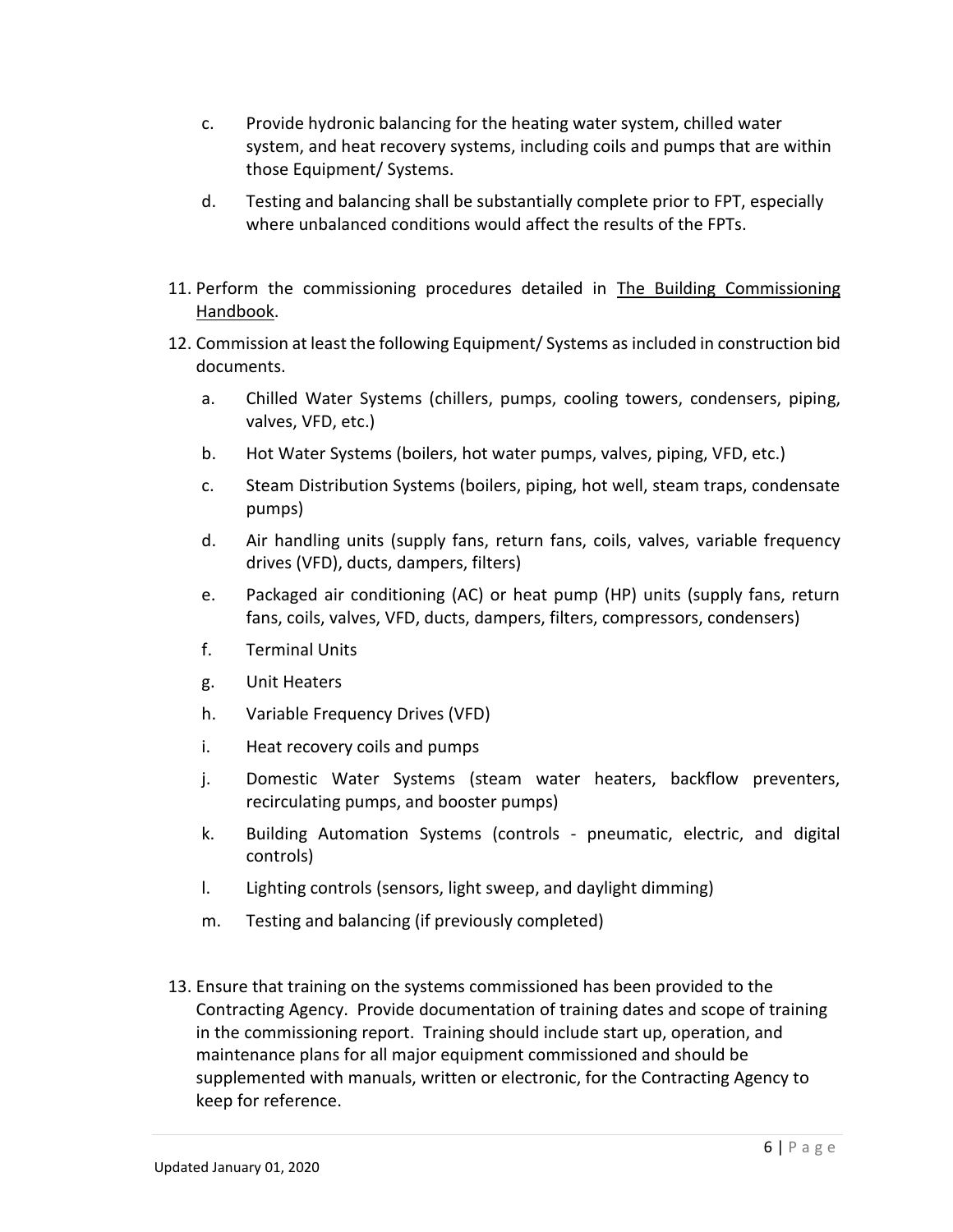- c. Provide hydronic balancing for the heating water system, chilled water system, and heat recovery systems, including coils and pumps that are within those Equipment/ Systems.
- d. Testing and balancing shall be substantially complete prior to FPT, especially where unbalanced conditions would affect the results of the FPTs.
- 11. Perform the commissioning procedures detailed in The Building Commissioning Handbook.
- 12. Commission at least the following Equipment/ Systems as included in construction bid documents.
	- a. Chilled Water Systems (chillers, pumps, cooling towers, condensers, piping, valves, VFD, etc.)
	- b. Hot Water Systems (boilers, hot water pumps, valves, piping, VFD, etc.)
	- c. Steam Distribution Systems (boilers, piping, hot well, steam traps, condensate pumps)
	- d. Air handling units (supply fans, return fans, coils, valves, variable frequency drives (VFD), ducts, dampers, filters)
	- e. Packaged air conditioning (AC) or heat pump (HP) units (supply fans, return fans, coils, valves, VFD, ducts, dampers, filters, compressors, condensers)
	- f. Terminal Units
	- g. Unit Heaters
	- h. Variable Frequency Drives (VFD)
	- i. Heat recovery coils and pumps
	- j. Domestic Water Systems (steam water heaters, backflow preventers, recirculating pumps, and booster pumps)
	- k. Building Automation Systems (controls pneumatic, electric, and digital controls)
	- l. Lighting controls (sensors, light sweep, and daylight dimming)
	- m. Testing and balancing (if previously completed)
- 13. Ensure that training on the systems commissioned has been provided to the Contracting Agency. Provide documentation of training dates and scope of training in the commissioning report. Training should include start up, operation, and maintenance plans for all major equipment commissioned and should be supplemented with manuals, written or electronic, for the Contracting Agency to keep for reference.